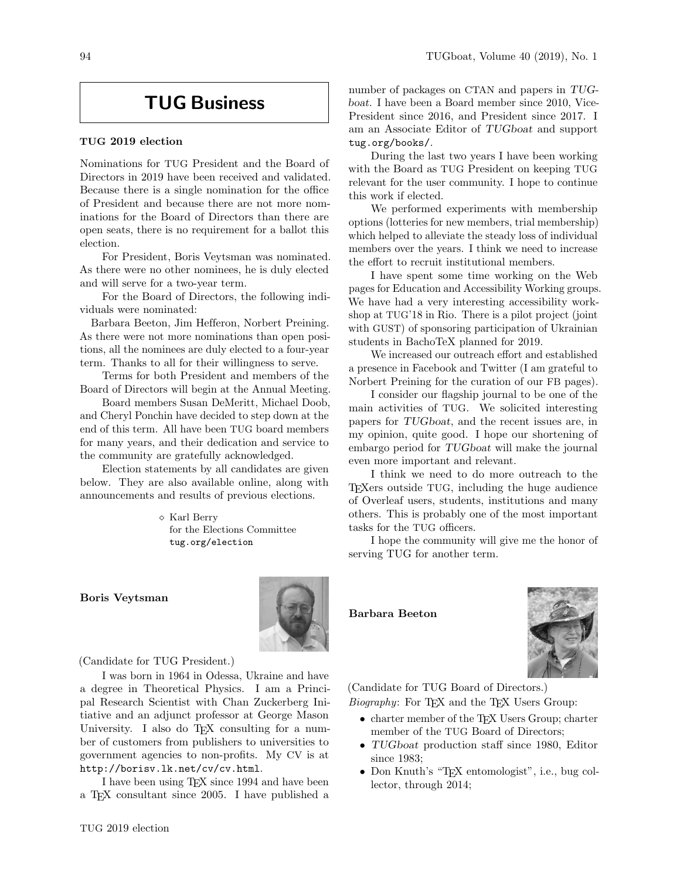## TUG Business

## TUG 2019 election

Nominations for TUG President and the Board of Directors in 2019 have been received and validated. Because there is a single nomination for the office of President and because there are not more nominations for the Board of Directors than there are open seats, there is no requirement for a ballot this election.

For President, Boris Veytsman was nominated. As there were no other nominees, he is duly elected and will serve for a two-year term.

For the Board of Directors, the following individuals were nominated:

Barbara Beeton, Jim Hefferon, Norbert Preining. As there were not more nominations than open positions, all the nominees are duly elected to a four-year term. Thanks to all for their willingness to serve.

Terms for both President and members of the Board of Directors will begin at the Annual Meeting.

Board members Susan DeMeritt, Michael Doob, and Cheryl Ponchin have decided to step down at the end of this term. All have been TUG board members for many years, and their dedication and service to the community are gratefully acknowledged.

Election statements by all candidates are given below. They are also available online, along with announcements and results of previous elections.

> Karl Berry for the Elections Committee tug.org/election

## Boris Veytsman



(Candidate for TUG President.)

I was born in 1964 in Odessa, Ukraine and have a degree in Theoretical Physics. I am a Principal Research Scientist with Chan Zuckerberg Initiative and an adjunct professor at George Mason University. I also do T<sub>EX</sub> consulting for a number of customers from publishers to universities to government agencies to non-profits. My CV is at <http://borisv.lk.net/cv/cv.html>.

I have been using TEX since 1994 and have been a TEX consultant since 2005. I have published a

number of packages on CTAN and papers in TUGboat. I have been a Board member since 2010, Vice-President since 2016, and President since 2017. I am an Associate Editor of TUGboat and support <tug.org/books/>.

During the last two years I have been working with the Board as TUG President on keeping TUG relevant for the user community. I hope to continue this work if elected.

We performed experiments with membership options (lotteries for new members, trial membership) which helped to alleviate the steady loss of individual members over the years. I think we need to increase the effort to recruit institutional members.

I have spent some time working on the Web pages for Education and Accessibility Working groups. We have had a very interesting accessibility workshop at TUG'18 in Rio. There is a pilot project (joint with GUST) of sponsoring participation of Ukrainian students in BachoTeX planned for 2019.

We increased our outreach effort and established a presence in Facebook and Twitter (I am grateful to Norbert Preining for the curation of our FB pages).

I consider our flagship journal to be one of the main activities of TUG. We solicited interesting papers for TUGboat, and the recent issues are, in my opinion, quite good. I hope our shortening of embargo period for TUGboat will make the journal even more important and relevant.

I think we need to do more outreach to the TEXers outside TUG, including the huge audience of Overleaf users, students, institutions and many others. This is probably one of the most important tasks for the TUG officers.

I hope the community will give me the honor of serving TUG for another term.

Barbara Beeton



(Candidate for TUG Board of Directors.)

Biography: For TEX and the TEX Users Group:

- charter member of the T<sub>E</sub>X Users Group; charter member of the TUG Board of Directors;
- TUGboat production staff since 1980, Editor since 1983;
- Don Knuth's "T<sub>EX</sub> entomologist", i.e., bug collector, through 2014;